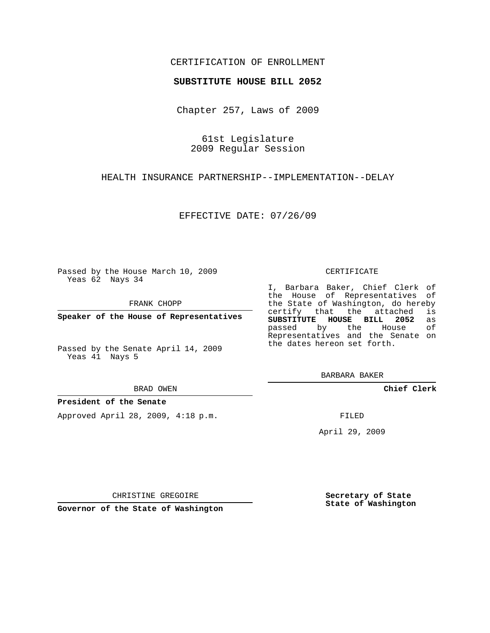## CERTIFICATION OF ENROLLMENT

### **SUBSTITUTE HOUSE BILL 2052**

Chapter 257, Laws of 2009

61st Legislature 2009 Regular Session

HEALTH INSURANCE PARTNERSHIP--IMPLEMENTATION--DELAY

EFFECTIVE DATE: 07/26/09

Passed by the House March 10, 2009 Yeas 62 Nays 34

FRANK CHOPP

**Speaker of the House of Representatives**

Passed by the Senate April 14, 2009 Yeas 41 Nays 5

#### BRAD OWEN

### **President of the Senate**

Approved April 28, 2009, 4:18 p.m.

#### CERTIFICATE

I, Barbara Baker, Chief Clerk of the House of Representatives of the State of Washington, do hereby<br>certify that the attached is certify that the attached **SUBSTITUTE HOUSE BILL 2052** as passed by the House of Representatives and the Senate on the dates hereon set forth.

BARBARA BAKER

**Chief Clerk**

FILED

April 29, 2009

**Secretary of State State of Washington**

CHRISTINE GREGOIRE

**Governor of the State of Washington**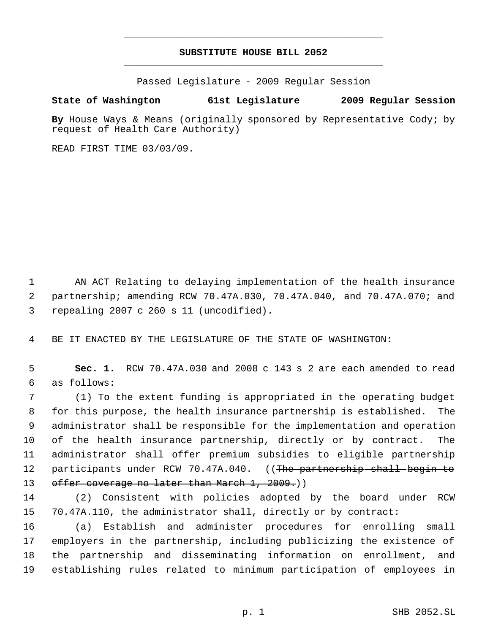# **SUBSTITUTE HOUSE BILL 2052** \_\_\_\_\_\_\_\_\_\_\_\_\_\_\_\_\_\_\_\_\_\_\_\_\_\_\_\_\_\_\_\_\_\_\_\_\_\_\_\_\_\_\_\_\_

\_\_\_\_\_\_\_\_\_\_\_\_\_\_\_\_\_\_\_\_\_\_\_\_\_\_\_\_\_\_\_\_\_\_\_\_\_\_\_\_\_\_\_\_\_

Passed Legislature - 2009 Regular Session

# **State of Washington 61st Legislature 2009 Regular Session**

**By** House Ways & Means (originally sponsored by Representative Cody; by request of Health Care Authority)

READ FIRST TIME 03/03/09.

 AN ACT Relating to delaying implementation of the health insurance partnership; amending RCW 70.47A.030, 70.47A.040, and 70.47A.070; and repealing 2007 c 260 s 11 (uncodified).

BE IT ENACTED BY THE LEGISLATURE OF THE STATE OF WASHINGTON:

 **Sec. 1.** RCW 70.47A.030 and 2008 c 143 s 2 are each amended to read as follows:

 (1) To the extent funding is appropriated in the operating budget for this purpose, the health insurance partnership is established. The administrator shall be responsible for the implementation and operation of the health insurance partnership, directly or by contract. The administrator shall offer premium subsidies to eligible partnership 12 participants under RCW 70.47A.040. ((The partnership shall begin to 13 offer coverage no later than March 1, 2009.)

 (2) Consistent with policies adopted by the board under RCW 70.47A.110, the administrator shall, directly or by contract:

 (a) Establish and administer procedures for enrolling small employers in the partnership, including publicizing the existence of the partnership and disseminating information on enrollment, and establishing rules related to minimum participation of employees in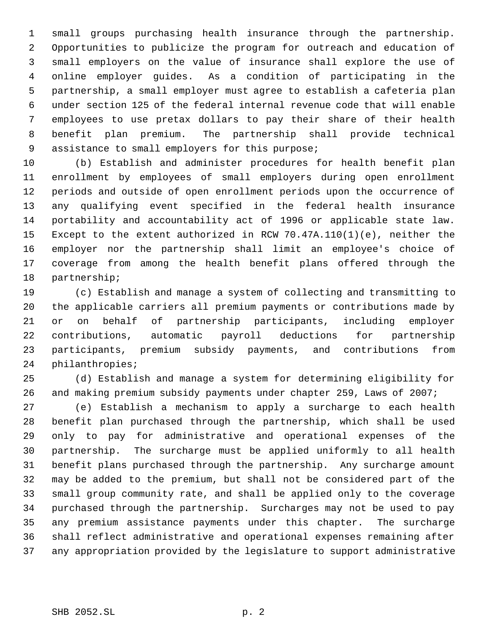small groups purchasing health insurance through the partnership. Opportunities to publicize the program for outreach and education of small employers on the value of insurance shall explore the use of online employer guides. As a condition of participating in the partnership, a small employer must agree to establish a cafeteria plan under section 125 of the federal internal revenue code that will enable employees to use pretax dollars to pay their share of their health benefit plan premium. The partnership shall provide technical assistance to small employers for this purpose;

 (b) Establish and administer procedures for health benefit plan enrollment by employees of small employers during open enrollment periods and outside of open enrollment periods upon the occurrence of any qualifying event specified in the federal health insurance portability and accountability act of 1996 or applicable state law. Except to the extent authorized in RCW 70.47A.110(1)(e), neither the employer nor the partnership shall limit an employee's choice of coverage from among the health benefit plans offered through the partnership;

 (c) Establish and manage a system of collecting and transmitting to the applicable carriers all premium payments or contributions made by or on behalf of partnership participants, including employer contributions, automatic payroll deductions for partnership participants, premium subsidy payments, and contributions from philanthropies;

 (d) Establish and manage a system for determining eligibility for and making premium subsidy payments under chapter 259, Laws of 2007;

 (e) Establish a mechanism to apply a surcharge to each health benefit plan purchased through the partnership, which shall be used only to pay for administrative and operational expenses of the partnership. The surcharge must be applied uniformly to all health benefit plans purchased through the partnership. Any surcharge amount may be added to the premium, but shall not be considered part of the small group community rate, and shall be applied only to the coverage purchased through the partnership. Surcharges may not be used to pay any premium assistance payments under this chapter. The surcharge shall reflect administrative and operational expenses remaining after any appropriation provided by the legislature to support administrative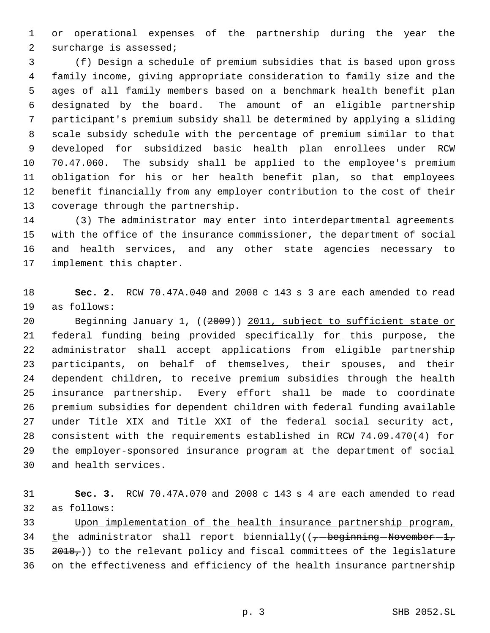or operational expenses of the partnership during the year the surcharge is assessed;

 (f) Design a schedule of premium subsidies that is based upon gross family income, giving appropriate consideration to family size and the ages of all family members based on a benchmark health benefit plan designated by the board. The amount of an eligible partnership participant's premium subsidy shall be determined by applying a sliding scale subsidy schedule with the percentage of premium similar to that developed for subsidized basic health plan enrollees under RCW 70.47.060. The subsidy shall be applied to the employee's premium obligation for his or her health benefit plan, so that employees benefit financially from any employer contribution to the cost of their coverage through the partnership.

 (3) The administrator may enter into interdepartmental agreements with the office of the insurance commissioner, the department of social and health services, and any other state agencies necessary to implement this chapter.

 **Sec. 2.** RCW 70.47A.040 and 2008 c 143 s 3 are each amended to read as follows:

 Beginning January 1, ((2009)) 2011, subject to sufficient state or 21 <u>federal funding being provided specifically for this purpose</u>, the administrator shall accept applications from eligible partnership participants, on behalf of themselves, their spouses, and their dependent children, to receive premium subsidies through the health insurance partnership. Every effort shall be made to coordinate premium subsidies for dependent children with federal funding available under Title XIX and Title XXI of the federal social security act, consistent with the requirements established in RCW 74.09.470(4) for the employer-sponsored insurance program at the department of social and health services.

 **Sec. 3.** RCW 70.47A.070 and 2008 c 143 s 4 are each amended to read as follows:

 Upon implementation of the health insurance partnership program, 34 the administrator shall report biennially( $(-$ beginning November -1,  $2010<sub>7</sub>$ )) to the relevant policy and fiscal committees of the legislature on the effectiveness and efficiency of the health insurance partnership